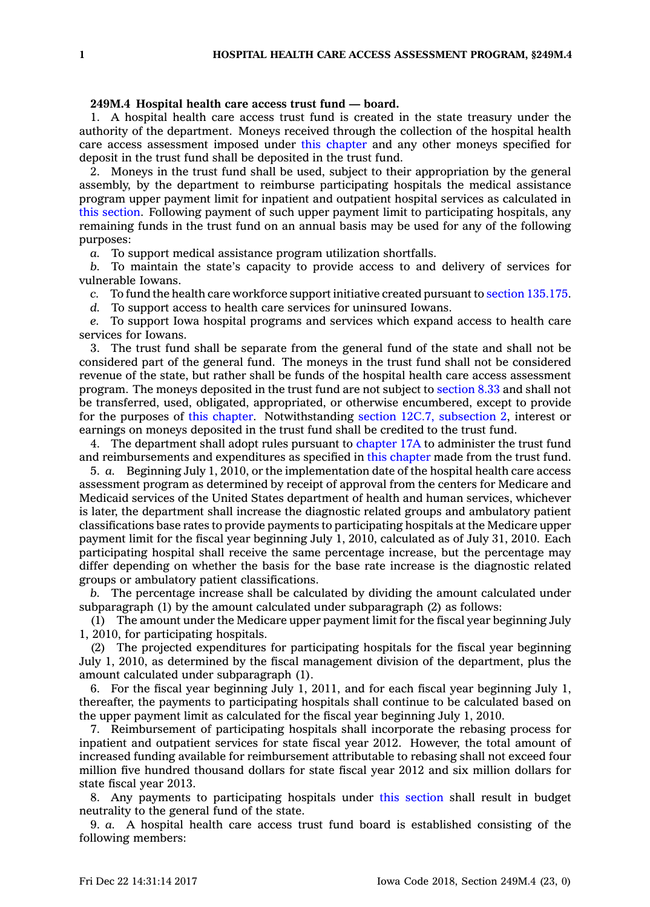## **249M.4 Hospital health care access trust fund — board.**

1. A hospital health care access trust fund is created in the state treasury under the authority of the department. Moneys received through the collection of the hospital health care access assessment imposed under this [chapter](https://www.legis.iowa.gov/docs/code//249M.pdf) and any other moneys specified for deposit in the trust fund shall be deposited in the trust fund.

2. Moneys in the trust fund shall be used, subject to their appropriation by the general assembly, by the department to reimburse participating hospitals the medical assistance program upper payment limit for inpatient and outpatient hospital services as calculated in this [section](https://www.legis.iowa.gov/docs/code/249M.4.pdf). Following payment of such upper payment limit to participating hospitals, any remaining funds in the trust fund on an annual basis may be used for any of the following purposes:

*a.* To support medical assistance program utilization shortfalls.

*b.* To maintain the state's capacity to provide access to and delivery of services for vulnerable Iowans.

*c.* To fund the health care workforce support initiative created pursuant to section [135.175](https://www.legis.iowa.gov/docs/code/135.175.pdf).

*d.* To support access to health care services for uninsured Iowans.

*e.* To support Iowa hospital programs and services which expand access to health care services for Iowans.

3. The trust fund shall be separate from the general fund of the state and shall not be considered part of the general fund. The moneys in the trust fund shall not be considered revenue of the state, but rather shall be funds of the hospital health care access assessment program. The moneys deposited in the trust fund are not subject to [section](https://www.legis.iowa.gov/docs/code/8.33.pdf) 8.33 and shall not be transferred, used, obligated, appropriated, or otherwise encumbered, except to provide for the purposes of this [chapter](https://www.legis.iowa.gov/docs/code//249M.pdf). Notwithstanding section 12C.7, [subsection](https://www.legis.iowa.gov/docs/code/12C.7.pdf) 2, interest or earnings on moneys deposited in the trust fund shall be credited to the trust fund.

4. The department shall adopt rules pursuant to [chapter](https://www.legis.iowa.gov/docs/code//17A.pdf) 17A to administer the trust fund and reimbursements and expenditures as specified in this [chapter](https://www.legis.iowa.gov/docs/code//249M.pdf) made from the trust fund.

5. *a.* Beginning July 1, 2010, or the implementation date of the hospital health care access assessment program as determined by receipt of approval from the centers for Medicare and Medicaid services of the United States department of health and human services, whichever is later, the department shall increase the diagnostic related groups and ambulatory patient classifications base rates to provide payments to participating hospitals at the Medicare upper payment limit for the fiscal year beginning July 1, 2010, calculated as of July 31, 2010. Each participating hospital shall receive the same percentage increase, but the percentage may differ depending on whether the basis for the base rate increase is the diagnostic related groups or ambulatory patient classifications.

*b.* The percentage increase shall be calculated by dividing the amount calculated under subparagraph (1) by the amount calculated under subparagraph (2) as follows:

(1) The amount under the Medicare upper payment limit for the fiscal year beginning July 1, 2010, for participating hospitals.

(2) The projected expenditures for participating hospitals for the fiscal year beginning July 1, 2010, as determined by the fiscal management division of the department, plus the amount calculated under subparagraph (1).

6. For the fiscal year beginning July 1, 2011, and for each fiscal year beginning July 1, thereafter, the payments to participating hospitals shall continue to be calculated based on the upper payment limit as calculated for the fiscal year beginning July 1, 2010.

7. Reimbursement of participating hospitals shall incorporate the rebasing process for inpatient and outpatient services for state fiscal year 2012. However, the total amount of increased funding available for reimbursement attributable to rebasing shall not exceed four million five hundred thousand dollars for state fiscal year 2012 and six million dollars for state fiscal year 2013.

8. Any payments to participating hospitals under this [section](https://www.legis.iowa.gov/docs/code/249M.4.pdf) shall result in budget neutrality to the general fund of the state.

9. *a.* A hospital health care access trust fund board is established consisting of the following members: